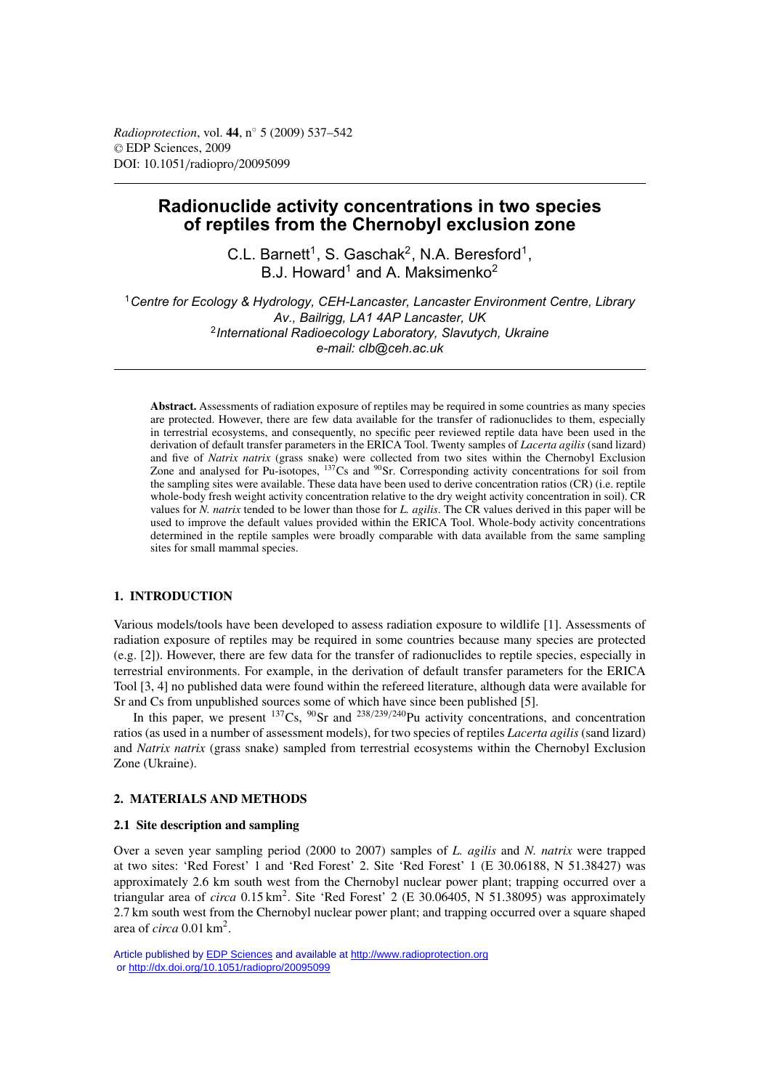*Radioprotection*, vol. **44**, n◦ 5 (2009) 537–542 © EDP Sciences, 2009 DOI: 10.1051/radiopro/20095099

# **Radionuclide activity concentrations in two species of reptiles from the Chernobyl exclusion zone**

C.L. Barnett<sup>1</sup>, S. Gaschak<sup>2</sup>, N.A. Beresford<sup>1</sup>, B.J. Howard<sup>1</sup> and A. Maksimenko<sup>2</sup>

<sup>1</sup>*Centre for Ecology & Hydrology, CEH-Lancaster, Lancaster Environment Centre, Library Av., Bailrigg, LA1 4AP Lancaster, UK* <sup>2</sup>*International Radioecology Laboratory, Slavutych, Ukraine e-mail: clb@ceh.ac.uk*

**Abstract.** Assessments of radiation exposure of reptiles may be required in some countries as many species are protected. However, there are few data available for the transfer of radionuclides to them, especially in terrestrial ecosystems, and consequently, no specific peer reviewed reptile data have been used in the derivation of default transfer parameters in the ERICA Tool. Twenty samples of *Lacerta agilis* (sand lizard) and five of *Natrix natrix* (grass snake) were collected from two sites within the Chernobyl Exclusion Zone and analysed for Pu-isotopes, <sup>137</sup>Cs and <sup>90</sup>Sr. Corresponding activity concentrations for soil from the sampling sites were available. These data have been used to derive concentration ratios (CR) (i.e. reptile whole-body fresh weight activity concentration relative to the dry weight activity concentration in soil). CR values for *N. natrix* tended to be lower than those for *L. agilis*. The CR values derived in this paper will be used to improve the default values provided within the ERICA Tool. Whole-body activity concentrations determined in the reptile samples were broadly comparable with data available from the same sampling sites for small mammal species.

# **1. INTRODUCTION**

Various models/tools have been developed to assess radiation exposure to wildlife [1]. Assessments of radiation exposure of reptiles may be required in some countries because many species are protected (e.g. [2]). However, there are few data for the transfer of radionuclides to reptile species, especially in terrestrial environments. For example, in the derivation of default transfer parameters for the ERICA Tool [3, 4] no published data were found within the refereed literature, although data were available for Sr and Cs from unpublished sources some of which have since been published [5].

In this paper, we present  $^{137}Cs$ ,  $^{90}Sr$  and  $^{238/239/240}Pu$  activity concentrations, and concentration ratios (as used in a number of assessment models), for two species of reptiles *Lacerta agilis* (sand lizard) and *Natrix natrix* (grass snake) sampled from terrestrial ecosystems within the Chernobyl Exclusion Zone (Ukraine).

# **2. MATERIALS AND METHODS**

## **2.1 Site description and sampling**

Over a seven year sampling period (2000 to 2007) samples of *L. agilis* and *N. natrix* were trapped at two sites: 'Red Forest' 1 and 'Red Forest' 2. Site 'Red Forest' 1 (E 30.06188, N 51.38427) was approximately 2.6 km south west from the Chernobyl nuclear power plant; trapping occurred over a triangular area of *circa* 0.15 km<sup>2</sup>. Site 'Red Forest' 2 (E 30.06405, N 51.38095) was approximately 2.7 km south west from the Chernobyl nuclear power plant; and trapping occurred over a square shaped area of *circa* 0.01 km<sup>2</sup>.

Article published by [EDP Sciences](http://www.edpsciences.org) and available at<http://www.radioprotection.org> or <http://dx.doi.org/10.1051/radiopro/20095099>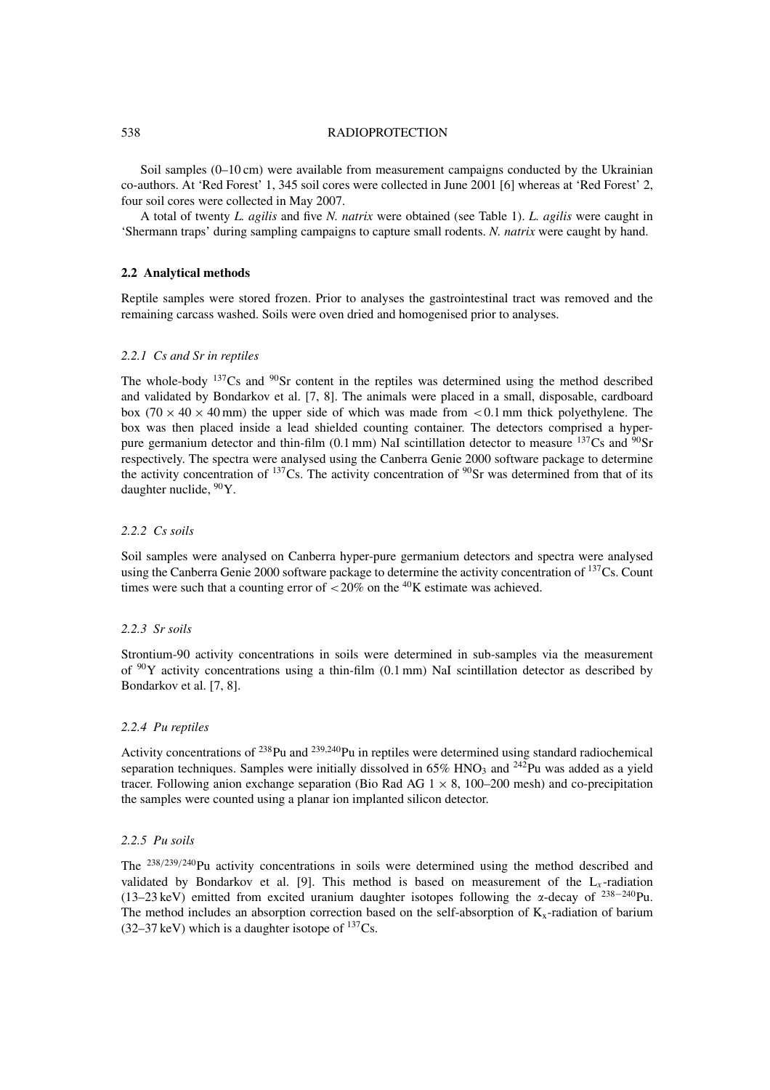#### 538 RADIOPROTECTION

Soil samples (0–10 cm) were available from measurement campaigns conducted by the Ukrainian co-authors. At 'Red Forest' 1, 345 soil cores were collected in June 2001 [6] whereas at 'Red Forest' 2, four soil cores were collected in May 2007.

A total of twenty *L. agilis* and five *N. natrix* were obtained (see Table 1). *L. agilis* were caught in 'Shermann traps' during sampling campaigns to capture small rodents. *N. natrix* were caught by hand.

#### **2.2 Analytical methods**

Reptile samples were stored frozen. Prior to analyses the gastrointestinal tract was removed and the remaining carcass washed. Soils were oven dried and homogenised prior to analyses.

### *2.2.1 Cs and Sr in reptiles*

The whole-body  $137Cs$  and  $90Sr$  content in the reptiles was determined using the method described and validated by Bondarkov et al. [7, 8]. The animals were placed in a small, disposable, cardboard box (70  $\times$  40  $\times$  40 mm) the upper side of which was made from  $\lt$  0.1 mm thick polyethylene. The box was then placed inside a lead shielded counting container. The detectors comprised a hyperpure germanium detector and thin-film (0.1 mm) NaI scintillation detector to measure  $^{137}Cs$  and  $^{90}Sr$ respectively. The spectra were analysed using the Canberra Genie 2000 software package to determine the activity concentration of  $137Cs$ . The activity concentration of  $90Sr$  was determined from that of its daughter nuclide,  $90Y$ .

# *2.2.2 Cs soils*

Soil samples were analysed on Canberra hyper-pure germanium detectors and spectra were analysed using the Canberra Genie 2000 software package to determine the activity concentration of <sup>137</sup>Cs. Count times were such that a counting error of  $\lt$  20% on the <sup>40</sup>K estimate was achieved.

# *2.2.3 Sr soils*

Strontium-90 activity concentrations in soils were determined in sub-samples via the measurement of  $90Y$  activity concentrations using a thin-film (0.1 mm) NaI scintillation detector as described by Bondarkov et al. [7, 8].

#### *2.2.4 Pu reptiles*

Activity concentrations of  $^{238}$ Pu and  $^{239,240}$ Pu in reptiles were determined using standard radiochemical separation techniques. Samples were initially dissolved in  $65\%$  HNO<sub>3</sub> and  $^{242}$ Pu was added as a yield tracer. Following anion exchange separation (Bio Rad AG  $1 \times 8$ , 100–200 mesh) and co-precipitation the samples were counted using a planar ion implanted silicon detector.

### *2.2.5 Pu soils*

The <sup>238/239/240</sup>Pu activity concentrations in soils were determined using the method described and validated by Bondarkov et al. [9]. This method is based on measurement of the  $L<sub>x</sub>$ -radiation (13–23 keV) emitted from excited uranium daughter isotopes following the  $\alpha$ -decay of <sup>238–240</sup>Pu. The method includes an absorption correction based on the self-absorption of  $K<sub>x</sub>$ -radiation of barium  $(32-37 \text{ keV})$  which is a daughter isotope of  $137 \text{Cs}$ .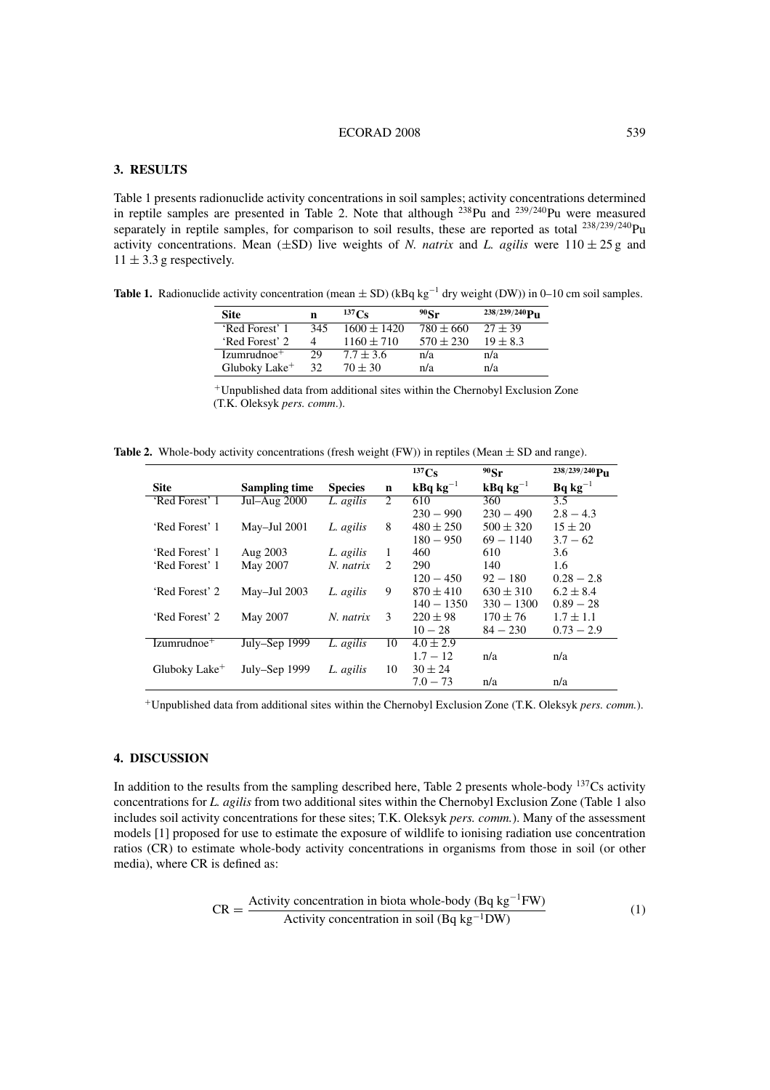## ECORAD 2008 539

# **3. RESULTS**

Table 1 presents radionuclide activity concentrations in soil samples; activity concentrations determined in reptile samples are presented in Table 2. Note that although <sup>238</sup>Pu and <sup>239/240</sup>Pu were measured separately in reptile samples, for comparison to soil results, these are reported as total <sup>238/239/240</sup>Pu activity concentrations. Mean ( $\pm$ SD) live weights of *N. natrix* and *L. agilis* were 110  $\pm$  25 g and  $11 \pm 3.3$  g respectively.

**Table 1.** Radionuclide activity concentration (mean  $\pm$  SD) (kBq kg<sup>-1</sup> dry weight (DW)) in 0–10 cm soil samples.

| <b>Site</b>               | n   | $^{137}$ Ce     | $90$ Sr       | $238/239/240$ P <sub>11</sub> |
|---------------------------|-----|-----------------|---------------|-------------------------------|
| 'Red Forest' 1            | 345 | $1600 \pm 1420$ | $780 \pm 660$ | $27 + 39$                     |
| 'Red Forest' 2            | 4   | $1160 + 710$    | $570 \pm 230$ | $19 \pm 8.3$                  |
| $Izumrudnoe+$             | 29  | $7.7 + 3.6$     | n/a           | n/a                           |
| Gluboky Lake <sup>+</sup> | 32  | $70 \pm 30$     | n/a           | n/a                           |

<sup>+</sup>Unpublished data from additional sites within the Chernobyl Exclusion Zone (T.K. Oleksyk *pers. comm*.).

Table 2. Whole-body activity concentrations (fresh weight (FW)) in reptiles (Mean  $\pm$  SD and range).

|                           |                      |                |                               | $^{137}Cs$                      | $90$ Sr                                | $238/239/240$ PII |
|---------------------------|----------------------|----------------|-------------------------------|---------------------------------|----------------------------------------|-------------------|
| <b>Site</b>               | <b>Sampling time</b> | <b>Species</b> | $\mathbf n$                   | $\mathbf{kBq}$ kg <sup>-1</sup> | $\mathbf{k}$ Bq $\mathbf{k}$ g $^{-1}$ | $Bq kg^{-1}$      |
| 'Red Forest' 1            | Jul-Aug 2000         | L. agilis      | 2                             | 610                             | 360                                    | $\overline{3.5}$  |
|                           |                      |                |                               | $230 - 990$                     | $230 - 490$                            | $2.8 - 4.3$       |
| 'Red Forest' 1            | May-Jul 2001         | L. agilis      | 8                             | $480 \pm 250$                   | $500 \pm 320$                          | $15 \pm 20$       |
|                           |                      |                |                               | $180 - 950$                     | $69 - 1140$                            | $3.7 - 62$        |
| 'Red Forest' 1            | Aug 2003             | L. agilis      | 1                             | 460                             | 610                                    | 3.6               |
| 'Red Forest' 1            | May 2007             | N. natrix      | $\mathfrak{D}_{\mathfrak{p}}$ | 290                             | 140                                    | 1.6               |
|                           |                      |                |                               | $120 - 450$                     | $92 - 180$                             | $0.28 - 2.8$      |
| 'Red Forest' 2            | May-Jul 2003         | L. agilis      | 9                             | $870 \pm 410$                   | $630 \pm 310$                          | $6.2 \pm 8.4$     |
|                           |                      |                |                               | $140 - 1350$                    | $330 - 1300$                           | $0.89 - 28$       |
| 'Red Forest' 2            | May 2007             | N. natrix      | 3                             | $220 \pm 98$                    | $170 \pm 76$                           | $1.7 \pm 1.1$     |
|                           |                      |                |                               | $10 - 28$                       | $84 - 230$                             | $0.73 - 2.9$      |
| $Izumrudnoe+$             | July–Sep 1999        | L. agilis      | 10                            | $4.0 \pm 2.9$                   |                                        |                   |
|                           |                      |                |                               | $1.7 - 12$                      | n/a                                    | n/a               |
| Gluboky Lake <sup>+</sup> | July–Sep 1999        | L. agilis      | 10                            | $30 \pm 24$                     |                                        |                   |
|                           |                      |                |                               | $7.0 - 73$                      | n/a                                    | n/a               |

<sup>+</sup>Unpublished data from additional sites within the Chernobyl Exclusion Zone (T.K. Oleksyk *pers. comm.*).

### **4. DISCUSSION**

In addition to the results from the sampling described here, Table 2 presents whole-body  $137Cs$  activity concentrations for *L. agilis* from two additional sites within the Chernobyl Exclusion Zone (Table 1 also includes soil activity concentrations for these sites; T.K. Oleksyk *pers. comm.*). Many of the assessment models [1] proposed for use to estimate the exposure of wildlife to ionising radiation use concentration ratios (CR) to estimate whole-body activity concentrations in organisms from those in soil (or other media), where CR is defined as:

$$
CR = \frac{Activity\ concentration\ in\ biotaab, whole-body\ (Bq\ kg^{-1}FW)}{Activity\ concentration\ in\ soil\ (Bq\ kg^{-1}DW)}
$$
\n(1)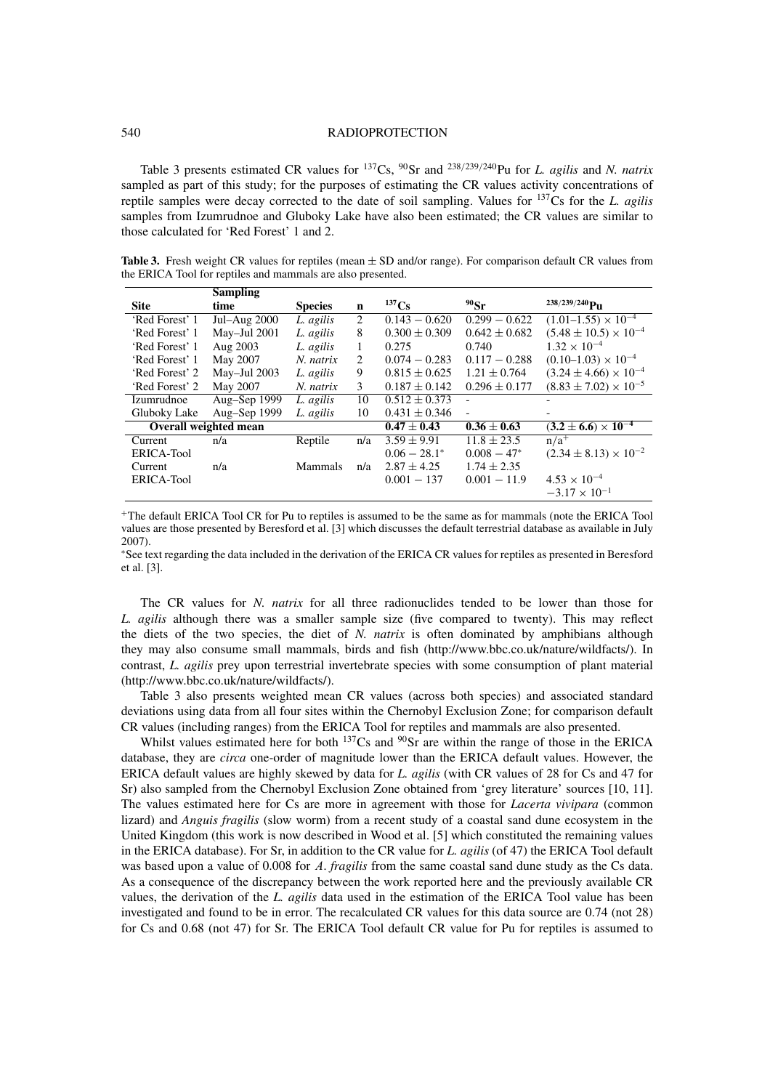#### 540 RADIOPROTECTION

Table 3 presents estimated CR values for 137Cs, 90Sr and <sup>238</sup>/239/240Pu for *L. agilis* and *N. natrix* sampled as part of this study; for the purposes of estimating the CR values activity concentrations of reptile samples were decay corrected to the date of soil sampling. Values for 137Cs for the *L. agilis* samples from Izumrudnoe and Gluboky Lake have also been estimated; the CR values are similar to those calculated for 'Red Forest' 1 and 2.

**Table 3.** Fresh weight CR values for reptiles (mean  $\pm$  SD and/or range). For comparison default CR values from the ERICA Tool for reptiles and mammals are also presented.

|                | <b>Sampling</b>       |                |     |                   |                   |                                  |
|----------------|-----------------------|----------------|-----|-------------------|-------------------|----------------------------------|
| <b>Site</b>    | time                  | <b>Species</b> | n   | $^{137}Cs$        | $90$ Sr           | $238/239/240$ PII                |
| 'Red Forest' 1 | Jul-Aug 2000          | L. agilis      | 2   | $0.143 - 0.620$   | $0.299 - 0.622$   | $(1.01-1.55)\times 10^{-4}$      |
| 'Red Forest' 1 | May-Jul 2001          | L. agilis      | 8   | $0.300 \pm 0.309$ | $0.642 \pm 0.682$ | $(5.48 \pm 10.5) \times 10^{-4}$ |
| 'Red Forest' 1 | Aug 2003              | L. agilis      | 1   | 0.275             | 0.740             | $1.32 \times 10^{-4}$            |
| 'Red Forest' 1 | May 2007              | N. natrix      | 2   | $0.074 - 0.283$   | $0.117 - 0.288$   | $(0.10-1.03) \times 10^{-4}$     |
| 'Red Forest' 2 | May-Jul 2003          | L. agilis      | 9   | $0.815 \pm 0.625$ | $1.21 \pm 0.764$  | $(3.24 \pm 4.66) \times 10^{-4}$ |
| 'Red Forest' 2 | May 2007              | N. natrix      | 3   | $0.187 \pm 0.142$ | $0.296 \pm 0.177$ | $(8.83 \pm 7.02) \times 10^{-5}$ |
| Izumrudnoe     | Aug-Sep 1999          | L. agilis      | 10  | $0.512 \pm 0.373$ |                   |                                  |
| Gluboky Lake   | Aug-Sep 1999          | L. agilis      | 10  | $0.431 \pm 0.346$ |                   |                                  |
|                | Overall weighted mean |                |     | $0.47 \pm 0.43$   | $0.36 \pm 0.63$   | $(3.2 \pm 6.6) \times 10^{-4}$   |
| Current        | n/a                   | Reptile        | n/a | $3.59 \pm 9.91$   | $11.8 \pm 23.5$   | $n/a^+$                          |
| ERICA-Tool     |                       |                |     | $0.06 - 28.1*$    | $0.008 - 47*$     | $(2.34 \pm 8.13) \times 10^{-2}$ |
| Current        | n/a                   | Mammals        | n/a | $2.87 \pm 4.25$   | $1.74 \pm 2.35$   |                                  |
| ERICA-Tool     |                       |                |     | $0.001 - 137$     | $0.001 - 11.9$    | $4.53 \times 10^{-4}$            |
|                |                       |                |     |                   |                   | $-3.17 \times 10^{-1}$           |

<sup>+</sup>The default ERICA Tool CR for Pu to reptiles is assumed to be the same as for mammals (note the ERICA Tool values are those presented by Beresford et al. [3] which discusses the default terrestrial database as available in July 2007).

<sup>∗</sup>See text regarding the data included in the derivation of the ERICA CR values for reptiles as presented in Beresford et al. [3].

The CR values for *N. natrix* for all three radionuclides tended to be lower than those for *L. agilis* although there was a smaller sample size (five compared to twenty). This may reflect the diets of the two species, the diet of *N. natrix* is often dominated by amphibians although they may also consume small mammals, birds and fish (http://www.bbc.co.uk/nature/wildfacts/). In contrast, *L. agilis* prey upon terrestrial invertebrate species with some consumption of plant material (http://www.bbc.co.uk/nature/wildfacts/).

Table 3 also presents weighted mean CR values (across both species) and associated standard deviations using data from all four sites within the Chernobyl Exclusion Zone; for comparison default CR values (including ranges) from the ERICA Tool for reptiles and mammals are also presented.

Whilst values estimated here for both  $137$ Cs and  $90$ Sr are within the range of those in the ERICA database, they are *circa* one-order of magnitude lower than the ERICA default values. However, the ERICA default values are highly skewed by data for *L. agilis* (with CR values of 28 for Cs and 47 for Sr) also sampled from the Chernobyl Exclusion Zone obtained from 'grey literature' sources [10, 11]. The values estimated here for Cs are more in agreement with those for *Lacerta vivipara* (common lizard) and *Anguis fragilis* (slow worm) from a recent study of a coastal sand dune ecosystem in the United Kingdom (this work is now described in Wood et al. [5] which constituted the remaining values in the ERICA database). For Sr, in addition to the CR value for *L. agilis* (of 47) the ERICA Tool default was based upon a value of 0.008 for A. *fragilis* from the same coastal sand dune study as the Cs data. As a consequence of the discrepancy between the work reported here and the previously available CR values, the derivation of the *L. agilis* data used in the estimation of the ERICA Tool value has been investigated and found to be in error. The recalculated CR values for this data source are 0.74 (not 28) for Cs and 0.68 (not 47) for Sr. The ERICA Tool default CR value for Pu for reptiles is assumed to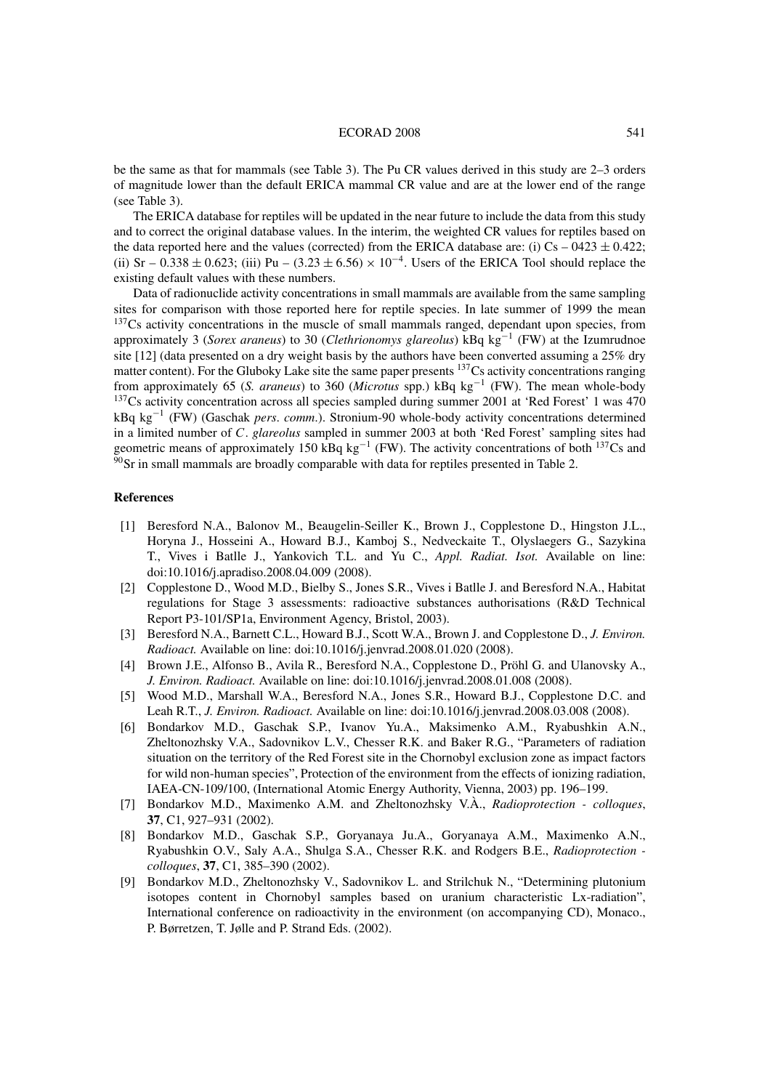#### ECORAD 2008 541

be the same as that for mammals (see Table 3). The Pu CR values derived in this study are 2–3 orders of magnitude lower than the default ERICA mammal CR value and are at the lower end of the range (see Table 3).

The ERICA database for reptiles will be updated in the near future to include the data from this study and to correct the original database values. In the interim, the weighted CR values for reptiles based on the data reported here and the values (corrected) from the ERICA database are: (i) Cs – 0423  $\pm$  0.422; (ii) Sr – 0.338  $\pm$  0.623; (iii) Pu – (3.23  $\pm$  6.56) × 10<sup>-4</sup>. Users of the ERICA Tool should replace the existing default values with these numbers.

Data of radionuclide activity concentrations in small mammals are available from the same sampling sites for comparison with those reported here for reptile species. In late summer of 1999 the mean <sup>137</sup>Cs activity concentrations in the muscle of small mammals ranged, dependant upon species, from approximately 3 (*Sorex araneus*) to 30 (*Clethrionomys glareolus*) kBq kg−<sup>1</sup> (FW) at the Izumrudnoe site [12] (data presented on a dry weight basis by the authors have been converted assuming a 25% dry matter content). For the Gluboky Lake site the same paper presents <sup>137</sup>Cs activity concentrations ranging from approximately 65 (*S. araneus*) to 360 (*Microtus* spp.) kBq kg−<sup>1</sup> (FW). The mean whole-body <sup>137</sup>Cs activity concentration across all species sampled during summer 2001 at 'Red Forest' 1 was 470 kBq kg−<sup>1</sup> (FW) (Gaschak *pers*. *comm*.). Stronium-90 whole-body activity concentrations determined in a limited number of C. *glareolus* sampled in summer 2003 at both 'Red Forest' sampling sites had geometric means of approximately 150 kBq kg<sup>-1</sup> (FW). The activity concentrations of both <sup>137</sup>Cs and  $90$ Sr in small mammals are broadly comparable with data for reptiles presented in Table 2.

## **References**

- [1] Beresford N.A., Balonov M., Beaugelin-Seiller K., Brown J., Copplestone D., Hingston J.L., Horyna J., Hosseini A., Howard B.J., Kamboj S., Nedveckaite T., Olyslaegers G., Sazykina T., Vives i Batlle J., Yankovich T.L. and Yu C., *Appl. Radiat. Isot.* Available on line: doi:10.1016/j.apradiso.2008.04.009 (2008).
- [2] Copplestone D., Wood M.D., Bielby S., Jones S.R., Vives i Batlle J. and Beresford N.A., Habitat regulations for Stage 3 assessments: radioactive substances authorisations (R&D Technical Report P3-101/SP1a, Environment Agency, Bristol, 2003).
- [3] Beresford N.A., Barnett C.L., Howard B.J., Scott W.A., Brown J. and Copplestone D., *J. Environ. Radioact.* Available on line: doi:10.1016/j.jenvrad.2008.01.020 (2008).
- [4] Brown J.E., Alfonso B., Avila R., Beresford N.A., Copplestone D., Pröhl G. and Ulanovsky A., *J. Environ. Radioact.* Available on line: doi:10.1016/j.jenvrad.2008.01.008 (2008).
- [5] Wood M.D., Marshall W.A., Beresford N.A., Jones S.R., Howard B.J., Copplestone D.C. and Leah R.T., *J. Environ. Radioact.* Available on line: doi:10.1016/j.jenvrad.2008.03.008 (2008).
- [6] Bondarkov M.D., Gaschak S.P., Ivanov Yu.A., Maksimenko A.M., Ryabushkin A.N., Zheltonozhsky V.A., Sadovnikov L.V., Chesser R.K. and Baker R.G., "Parameters of radiation situation on the territory of the Red Forest site in the Chornobyl exclusion zone as impact factors for wild non-human species", Protection of the environment from the effects of ionizing radiation, IAEA-CN-109/100, (International Atomic Energy Authority, Vienna, 2003) pp. 196–199.
- [7] Bondarkov M.D., Maximenko A.M. and Zheltonozhsky V.À., *Radioprotection colloques*, **37**, C1, 927–931 (2002).
- [8] Bondarkov M.D., Gaschak S.P., Goryanaya Ju.A., Goryanaya A.M., Maximenko A.N., Ryabushkin O.V., Saly A.A., Shulga S.A., Chesser R.K. and Rodgers B.E., *Radioprotection colloques*, **37**, C1, 385–390 (2002).
- [9] Bondarkov M.D., Zheltonozhsky V., Sadovnikov L. and Strilchuk N., "Determining plutonium isotopes content in Chornobyl samples based on uranium characteristic Lx-radiation", International conference on radioactivity in the environment (on accompanying CD), Monaco., P. Børretzen, T. Jølle and P. Strand Eds. (2002).